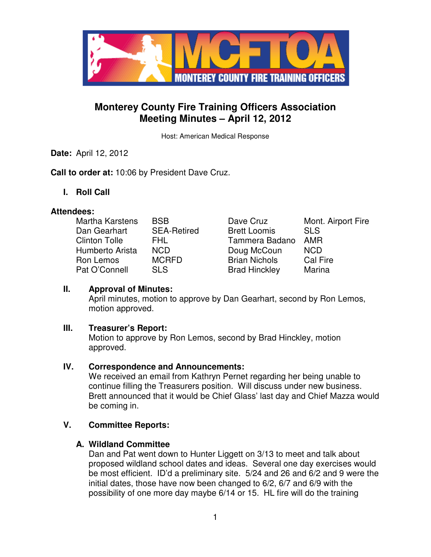

# **Monterey County Fire Training Officers Association Meeting Minutes – April 12, 2012**

Host: American Medical Response

**Date:** April 12, 2012

**Call to order at:** 10:06 by President Dave Cruz.

**I. Roll Call** 

#### **Attendees:**

| Martha Karstens      | <b>BSB</b>         | Dave Cruz            | Mont. Airport Fire |
|----------------------|--------------------|----------------------|--------------------|
| Dan Gearhart         | <b>SEA-Retired</b> | <b>Brett Loomis</b>  | <b>SLS</b>         |
| <b>Clinton Tolle</b> | FHL.               | Tammera Badano       | <b>AMR</b>         |
| Humberto Arista      | <b>NCD</b>         | Doug McCoun          | <b>NCD</b>         |
| Ron Lemos            | <b>MCRFD</b>       | <b>Brian Nichols</b> | <b>Cal Fire</b>    |
| Pat O'Connell        | <b>SLS</b>         | <b>Brad Hinckley</b> | Marina             |

| Dave Cruz            | Mont. Airport Fire |
|----------------------|--------------------|
| <b>Brett Loomis</b>  | <b>SLS</b>         |
| Tammera Badano       | AMR                |
| Doug McCoun          | <b>NCD</b>         |
| <b>Brian Nichols</b> | Cal Fire           |
| <b>Brad Hinckley</b> | Marina             |

# **II. Approval of Minutes:**

April minutes, motion to approve by Dan Gearhart, second by Ron Lemos, motion approved.

#### **III. Treasurer's Report:**

Motion to approve by Ron Lemos, second by Brad Hinckley, motion approved.

# **IV. Correspondence and Announcements:**

We received an email from Kathryn Pernet regarding her being unable to continue filling the Treasurers position. Will discuss under new business. Brett announced that it would be Chief Glass' last day and Chief Mazza would be coming in.

# **V. Committee Reports:**

# **A. Wildland Committee**

Dan and Pat went down to Hunter Liggett on 3/13 to meet and talk about proposed wildland school dates and ideas. Several one day exercises would be most efficient. ID'd a preliminary site. 5/24 and 26 and 6/2 and 9 were the initial dates, those have now been changed to 6/2, 6/7 and 6/9 with the possibility of one more day maybe 6/14 or 15. HL fire will do the training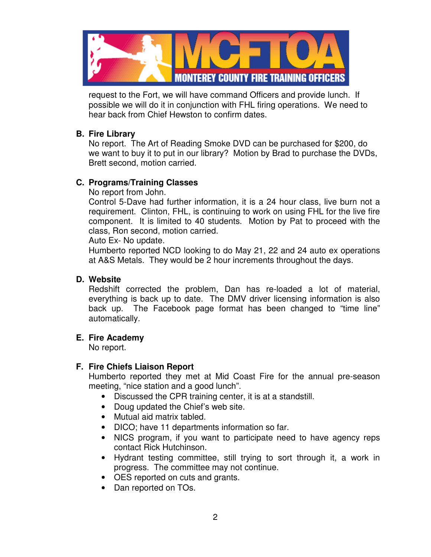

request to the Fort, we will have command Officers and provide lunch. If possible we will do it in conjunction with FHL firing operations. We need to hear back from Chief Hewston to confirm dates.

#### **B. Fire Library**

No report. The Art of Reading Smoke DVD can be purchased for \$200, do we want to buy it to put in our library? Motion by Brad to purchase the DVDs, Brett second, motion carried.

# **C. Programs/Training Classes**

No report from John.

Control 5-Dave had further information, it is a 24 hour class, live burn not a requirement. Clinton, FHL, is continuing to work on using FHL for the live fire component. It is limited to 40 students. Motion by Pat to proceed with the class, Ron second, motion carried.

Auto Ex- No update.

Humberto reported NCD looking to do May 21, 22 and 24 auto ex operations at A&S Metals. They would be 2 hour increments throughout the days.

#### **D. Website**

Redshift corrected the problem, Dan has re-loaded a lot of material, everything is back up to date. The DMV driver licensing information is also back up. The Facebook page format has been changed to "time line" automatically.

# **E. Fire Academy**

No report.

# **F. Fire Chiefs Liaison Report**

Humberto reported they met at Mid Coast Fire for the annual pre-season meeting, "nice station and a good lunch".

- Discussed the CPR training center, it is at a standstill.
- Doug updated the Chief's web site.
- Mutual aid matrix tabled.
- DICO; have 11 departments information so far.
- NICS program, if you want to participate need to have agency reps contact Rick Hutchinson.
- Hydrant testing committee, still trying to sort through it, a work in progress. The committee may not continue.
- OES reported on cuts and grants.
- Dan reported on TOs.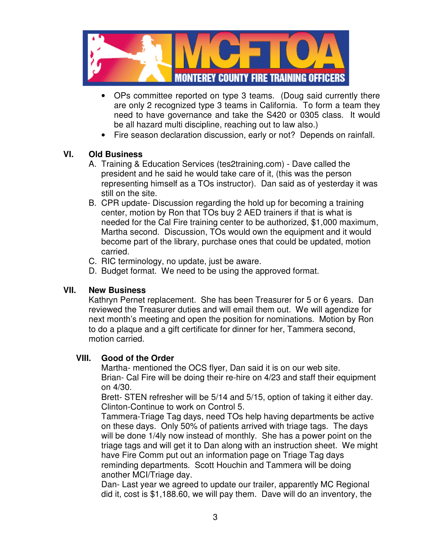

- OPs committee reported on type 3 teams. (Doug said currently there are only 2 recognized type 3 teams in California. To form a team they need to have governance and take the S420 or 0305 class. It would be all hazard multi discipline, reaching out to law also.)
- Fire season declaration discussion, early or not? Depends on rainfall.

#### **VI. Old Business**

- A. Training & Education Services (tes2training.com) Dave called the president and he said he would take care of it, (this was the person representing himself as a TOs instructor). Dan said as of yesterday it was still on the site.
- B. CPR update- Discussion regarding the hold up for becoming a training center, motion by Ron that TOs buy 2 AED trainers if that is what is needed for the Cal Fire training center to be authorized, \$1,000 maximum, Martha second. Discussion, TOs would own the equipment and it would become part of the library, purchase ones that could be updated, motion carried.
- C. RIC terminology, no update, just be aware.
- D. Budget format. We need to be using the approved format.

#### **VII. New Business**

Kathryn Pernet replacement. She has been Treasurer for 5 or 6 years. Dan reviewed the Treasurer duties and will email them out. We will agendize for next month's meeting and open the position for nominations. Motion by Ron to do a plaque and a gift certificate for dinner for her, Tammera second, motion carried.

#### **VIII. Good of the Order**

Martha- mentioned the OCS flyer, Dan said it is on our web site. Brian- Cal Fire will be doing their re-hire on 4/23 and staff their equipment on 4/30.

Brett- STEN refresher will be 5/14 and 5/15, option of taking it either day. Clinton-Continue to work on Control 5.

Tammera-Triage Tag days, need TOs help having departments be active on these days. Only 50% of patients arrived with triage tags. The days will be done 1/4ly now instead of monthly. She has a power point on the triage tags and will get it to Dan along with an instruction sheet. We might have Fire Comm put out an information page on Triage Tag days reminding departments. Scott Houchin and Tammera will be doing another MCI/Triage day.

Dan- Last year we agreed to update our trailer, apparently MC Regional did it, cost is \$1,188.60, we will pay them. Dave will do an inventory, the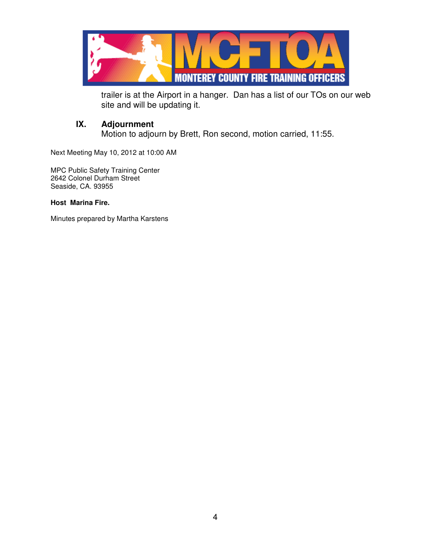

trailer is at the Airport in a hanger. Dan has a list of our TOs on our web site and will be updating it.

# **IX. Adjournment**

Motion to adjourn by Brett, Ron second, motion carried, 11:55.

Next Meeting May 10, 2012 at 10:00 AM

MPC Public Safety Training Center 2642 Colonel Durham Street Seaside, CA. 93955

#### **Host Marina Fire.**

Minutes prepared by Martha Karstens